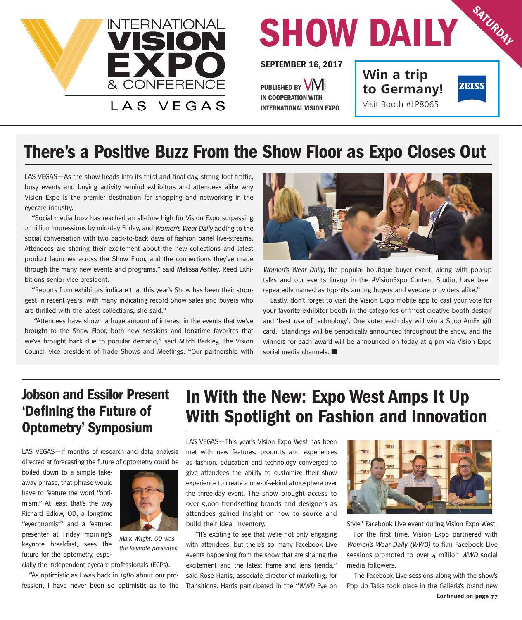

# **SHOW DAILY**

**SEPTEMBER 16, 2017**

PUBLISHED BY **VIVI IN COOPERATION WITH INTERNATIONAL VISION EXPO** **Win a trip to Germany!** Visit Booth #LP8065



**SATURDAY**

# **There's a Positive Buzz From the Show Floor as Expo Closes Out**

LAS VEGAS-As the show heads into its third and final day, strong foot traffic, busy events and buying activity remind exhibitors and attendees alike why Vision Expo is the premier destination for shopping and networking in the eyecare industry.

"Social media buzz has reached an all-time high for Vision Expo surpassing 2 million impressions by mid-day Friday, and Women's Wear Daily adding to the social conversation with two back-to-back days of fashion panel live-streams. Attendees are sharing their excitement about the new collections and latest product launches across the Show Floor, and the connections they've made through the many new events and programs," said Melissa Ashley, Reed Exhibitions senior vice president.

"Reports from exhibitors indicate that this year's Show has been their strongest in recent years, with many indicating record Show sales and buyers who are thrilled with the latest collections, she said."

 "Attendees have shown a huge amount of interest in the events that we've brought to the Show Floor, both new sessions and longtime favorites that we've brought back due to popular demand," said Mitch Barkley, The Vision Council vice president of Trade Shows and Meetings. "Our partnership with



Women's Wear Daily, the popular boutique buyer event, along with pop-up talks and our events lineup in the #VisionExpo Content Studio, have been repeatedly named as top-hits among buyers and eyecare providers alike."

Lastly, don't forget to visit the Vision Expo mobile app to cast your vote for your favorite exhibitor booth in the categories of 'most creative booth design' and 'best use of technology'. One voter each day will win a \$500 AmEx gift card. Standings will be periodically announced throughout the show, and the winners for each award will be announced on today at 4 pm via Vision Expo social media channels. ■

#### **Jobson and Essilor Present 'Defining the Future of Optometry' Symposium**

LAS VEGAS—If months of research and data analysis directed at forecasting the future of optometry could be

boiled down to a simple takeaway phrase, that phrase would have to feature the word "optimism." At least that's the way Richard Edlow, OD, a longtime "eyeconomist" and a featured presenter at Friday morning's keynote breakfast, sees the future for the optometry, espe-



Mark Wright, OD was the keynote presenter.

cially the independent eyecare professionals (ECPs).

"As optimistic as I was back in 1980 about our profession, I have never been so optimistic as to the

## **In With the New: Expo West Amps It Up With Spotlight on Fashion and Innovation**

LAS VEGAS—This year's Vision Expo West has been met with new features, products and experiences as fashion, education and technology converged to give attendees the ability to customize their show experience to create a one-of-a-kind atmosphere over the three-day event. The show brought access to over 5,000 trendsetting brands and designers as attendees gained insight on how to source and build their ideal inventory.

"It's exciting to see that we're not only engaging with attendees, but there's so many Facebook Live events happening from the show that are sharing the excitement and the latest frame and lens trends," said Rose Harris, associate director of marketing, for Transitions. Harris participated in the "WWD Eye on



Style" Facebook Live event during Vision Expo West.

For the first time, Vision Expo partnered with Women's Wear Daily (WWD) to film Facebook Live sessions promoted to over  $4$  million WWD social media followers.

The Facebook Live sessions along with the show's Pop Up Talks took place in the Galleria's brand new **Continued on page 77**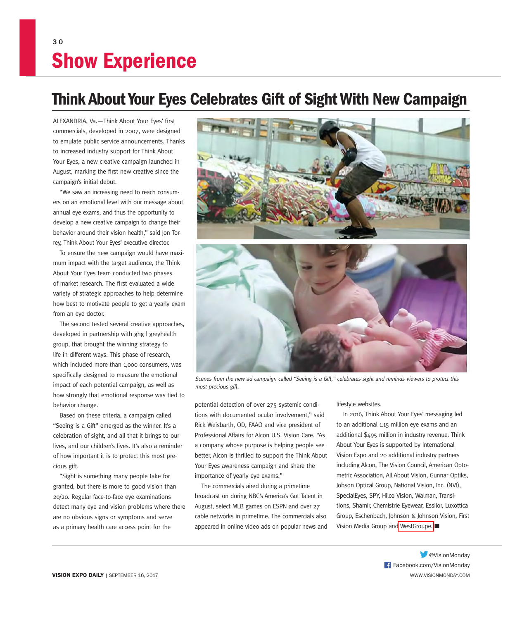### 3 0 **Show Experience**

### **Think About Your Eyes Celebrates Gift of Sight With New Campaign**

ALEXANDRIA, Va. - Think About Your Eyes' first commercials, developed in 2007, were designed to emulate public service announcements. Thanks to increased industry support for Think About Your Eyes, a new creative campaign launched in August, marking the first new creative since the campaign's initial debut.

"We saw an increasing need to reach consumers on an emotional level with our message about annual eye exams, and thus the opportunity to develop a new creative campaign to change their behavior around their vision health," said Jon Torrey, Think About Your Eyes' executive director.

To ensure the new campaign would have maximum impact with the target audience, the Think About Your Eyes team conducted two phases of market research. The first evaluated a wide variety of strategic approaches to help determine how best to motivate people to get a yearly exam from an eye doctor.

The second tested several creative approaches, developed in partnership with ghg | greyhealth group, that brought the winning strategy to life in different ways. This phase of research, which included more than 1,000 consumers, was specifically designed to measure the emotional impact of each potential campaign, as well as how strongly that emotional response was tied to behavior change.

Based on these criteria, a campaign called "Seeing is a Gift" emerged as the winner. It's a celebration of sight, and all that it brings to our lives, and our children's lives. It's also a reminder of how important it is to protect this most precious gift.

"Sight is something many people take for granted, but there is more to good vision than 20/20. Regular face-to-face eye examinations detect many eye and vision problems where there are no obvious signs or symptoms and serve as a primary health care access point for the



Scenes from the new ad campaign called "Seeing is a Gift," celebrates sight and reminds viewers to protect this most precious gift.

potential detection of over 275 systemic conditions with documented ocular involvement," said Rick Weisbarth, OD, FAAO and vice president of Professional Affairs for Alcon U.S. Vision Care. "As a company whose purpose is helping people see better, Alcon is thrilled to support the Think About Your Eyes awareness campaign and share the importance of yearly eye exams."

The commercials aired during a primetime broadcast on during NBC's America's Got Talent in August, select MLB games on ESPN and over 27 cable networks in primetime. The commercials also appeared in online video ads on popular news and lifestyle websites.

In 2016, Think About Your Eyes' messaging led to an additional 1.15 million eye exams and an additional \$495 million in industry revenue. Think About Your Eyes is supported by International Vision Expo and 20 additional industry partners including Alcon, The Vision Council, American Optometric Association, All About Vision, Gunnar Optiks, Jobson Optical Group, National Vision, Inc. (NVI), SpecialEyes, SPY, Hilco Vision, Walman, Transitions, Shamir, Chemistrie Eyewear, Essilor, Luxottica Group, Eschenbach, Johnson & Johnson Vision, First Vision Media Group and WestGroupe.